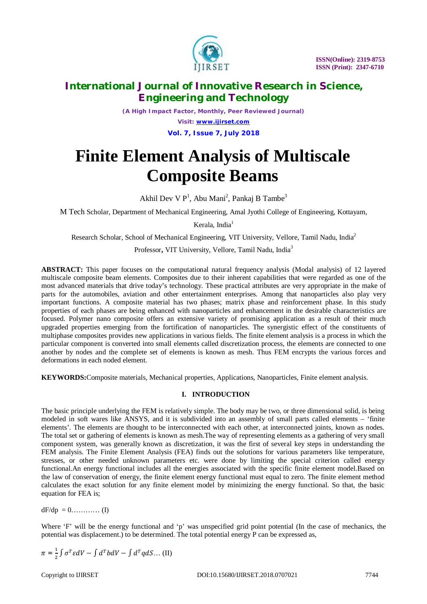

*(A High Impact Factor, Monthly, Peer Reviewed Journal) Visit: [www.ijirset.com](http://www.ijirset.com)* **Vol. 7, Issue 7, July 2018**

# **Finite Element Analysis of Multiscale Composite Beams**

Akhil Dev V P<sup>1</sup>, Abu Mani<sup>2</sup>, Pankaj B Tambe<sup>3</sup>

M Tech Scholar, Department of Mechanical Engineering, Amal Jyothi College of Engineering, Kottayam,

Kerala, India<sup>1</sup>

Research Scholar, School of Mechanical Engineering, VIT University, Vellore, Tamil Nadu, India<sup>2</sup>

Professor**,** VIT University, Vellore, Tamil Nadu, India<sup>3</sup>

**ABSTRACT:** This paper focuses on the computational natural frequency analysis (Modal analysis) of 12 layered multiscale composite beam elements. Composites due to their inherent capabilities that were regarded as one of the most advanced materials that drive today's technology. These practical attributes are very appropriate in the make of parts for the automobiles, aviation and other entertainment enterprises. Among that nanoparticles also play very important functions. A composite material has two phases; matrix phase and reinforcement phase. In this study properties of each phases are being enhanced with nanoparticles and enhancement in the desirable characteristics are focused. Polymer nano composite offers an extensive variety of promising application as a result of their much upgraded properties emerging from the fortification of nanoparticles. The synergistic effect of the constituents of multiphase composites provides new applications in various fields. The finite element analysis is a process in which the particular component is converted into small elements called discretization process, the elements are connected to one another by nodes and the complete set of elements is known as mesh. Thus FEM encrypts the various forces and deformations in each noded element.

**KEYWORDS:**Composite materials, Mechanical properties, Applications, Nanoparticles, Finite element analysis.

### **I. INTRODUCTION**

The basic principle underlying the FEM is relatively simple. The body may be two, or three dimensional solid, is being modeled in soft wares like ANSYS, and it is subdivided into an assembly of small parts called elements – 'finite elements'. The elements are thought to be interconnected with each other, at interconnected joints, known as nodes. The total set or gathering of elements is known as mesh.The way of representing elements as a gathering of very small component system, was generally known as discretization, it was the first of several key steps in understanding the FEM analysis. The Finite Element Analysis (FEA) finds out the solutions for various parameters like temperature, stresses, or other needed unknown parameters etc. were done by limiting the special criterion called energy functional.An energy functional includes all the energies associated with the specific finite element model.Based on the law of conservation of energy, the finite element energy functional must equal to zero. The finite element method calculates the exact solution for any finite element model by minimizing the energy functional. So that, the basic equation for FEA is;

 $dF/dp = 0$ ………… (I)

Where 'F' will be the energy functional and 'p' was unspecified grid point potential (In the case of mechanics, the potential was displacement.) to be determined. The total potential energy P can be expressed as,

$$
\pi = \frac{1}{2} \int \sigma^T \varepsilon dV - \int d^T b dV - \int d^T q dS \dots (II)
$$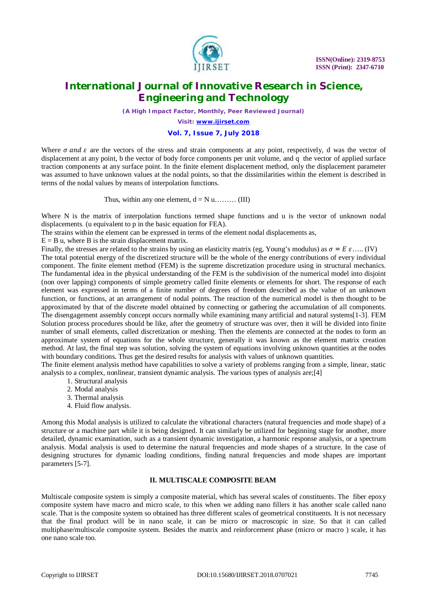

*(A High Impact Factor, Monthly, Peer Reviewed Journal)*

*Visit: [www.ijirset.com](http://www.ijirset.com)*

## **Vol. 7, Issue 7, July 2018**

Where  $\sigma$  and  $\varepsilon$  are the vectors of the stress and strain components at any point, respectively, d was the vector of displacement at any point, b the vector of body force components per unit volume, and q the vector of applied surface traction components at any surface point. In the finite element displacement method, only the displacement parameter was assumed to have unknown values at the nodal points, so that the dissimilarities within the element is described in terms of the nodal values by means of interpolation functions.

Thus, within any one element,  $d = N u$ ......... (III)

Where N is the matrix of interpolation functions termed shape functions and u is the vector of unknown nodal displacements. (u equivalent to p in the basic equation for FEA).

The strains within the element can be expressed in terms of the element nodal displacements as,

 $E = B$  u, where B is the strain displacement matrix.

Finally, the stresses are related to the strains by using an elasticity matrix (eg, Young's modulus) as  $\sigma = E \varepsilon$ .....(IV) The total potential energy of the discretized structure will be the whole of the energy contributions of every individual component. The finite element method (FEM) is the supreme discretization procedure using in structural mechanics. The fundamental idea in the physical understanding of the FEM is the subdivision of the numerical model into disjoint (non over lapping) components of simple geometry called finite elements or elements for short. The response of each element was expressed in terms of a finite number of degrees of freedom described as the value of an unknown function, or functions, at an arrangement of nodal points. The reaction of the numerical model is then thought to be approximated by that of the discrete model obtained by connecting or gathering the accumulation of all components. The disengagement assembly concept occurs normally while examining many artificial and natural systems[1-3]. FEM Solution process procedures should be like, after the geometry of structure was over, then it will be divided into finite number of small elements, called discretization or meshing. Then the elements are connected at the nodes to form an approximate system of equations for the whole structure, generally it was known as the element matrix creation method. At last, the final step was solution, solving the system of equations involving unknown quantities at the nodes with boundary conditions. Thus get the desired results for analysis with values of unknown quantities.

The finite element analysis method have capabilities to solve a variety of problems ranging from a simple, linear, static analysis to a complex, nonlinear, transient dynamic analysis. The various types of analysis are;[4]

- 1. Structural analysis
- 2. Modal analysis
- 3. Thermal analysis
- 4. Fluid flow analysis.

Among this Modal analysis is utilized to calculate the vibrational characters (natural frequencies and mode shape) of a structure or a machine part while it is being designed. It can similarly be utilized for beginning stage for another, more detailed, dynamic examination, such as a transient dynamic investigation, a harmonic response analysis, or a spectrum analysis. Modal analysis is used to determine the natural frequencies and mode shapes of a structure. In the case of designing structures for dynamic loading conditions, finding natural frequencies and mode shapes are important parameters [5-7].

#### **II. MULTISCALE COMPOSITE BEAM**

Multiscale composite system is simply a composite material, which has several scales of constituents. The fiber epoxy composite system have macro and micro scale, to this when we adding nano fillers it has another scale called nano scale. That is the composite system so obtained has three different scales of geometrical constituents. It is not necessary that the final product will be in nano scale, it can be micro or macroscopic in size. So that it can called multiphase/multiscale composite system. Besides the matrix and reinforcement phase (micro or macro ) scale, it has one nano scale too.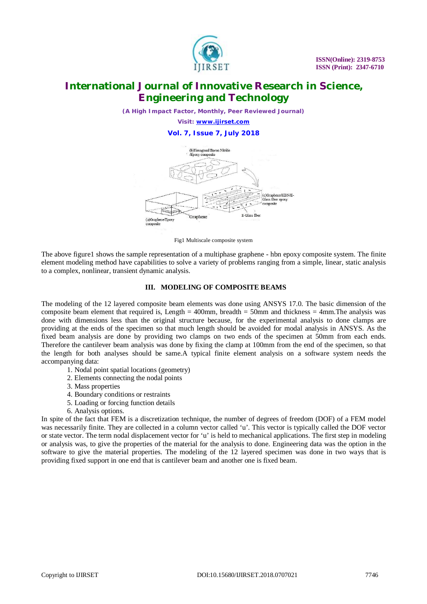

*(A High Impact Factor, Monthly, Peer Reviewed Journal) Visit: [www.ijirset.com](http://www.ijirset.com)* **Vol. 7, Issue 7, July 2018**



Fig1 Multiscale composite system

The above figure1 shows the sample representation of a multiphase graphene - hbn epoxy composite system. The finite element modeling method have capabilities to solve a variety of problems ranging from a simple, linear, static analysis to a complex, nonlinear, transient dynamic analysis.

### **III. MODELING OF COMPOSITE BEAMS**

The modeling of the 12 layered composite beam elements was done using ANSYS 17.0. The basic dimension of the composite beam element that required is, Length  $=$  400mm, breadth  $=$  50mm and thickness  $=$  4mm. The analysis was done with dimensions less than the original structure because, for the experimental analysis to done clamps are providing at the ends of the specimen so that much length should be avoided for modal analysis in ANSYS. As the fixed beam analysis are done by providing two clamps on two ends of the specimen at 50mm from each ends. Therefore the cantilever beam analysis was done by fixing the clamp at 100mm from the end of the specimen, so that the length for both analyses should be same.A typical finite element analysis on a software system needs the accompanying data:

- 1. Nodal point spatial locations (geometry)
- 2. Elements connecting the nodal points
- 3. Mass properties
- 4. Boundary conditions or restraints
- 5. Loading or forcing function details
- 6. Analysis options.

In spite of the fact that FEM is a discretization technique, the number of degrees of freedom (DOF) of a FEM model was necessarily finite. They are collected in a column vector called 'u'. This vector is typically called the DOF vector or state vector. The term nodal displacement vector for 'u' is held to mechanical applications. The first step in modeling or analysis was, to give the properties of the material for the analysis to done. Engineering data was the option in the software to give the material properties. The modeling of the 12 layered specimen was done in two ways that is providing fixed support in one end that is cantilever beam and another one is fixed beam.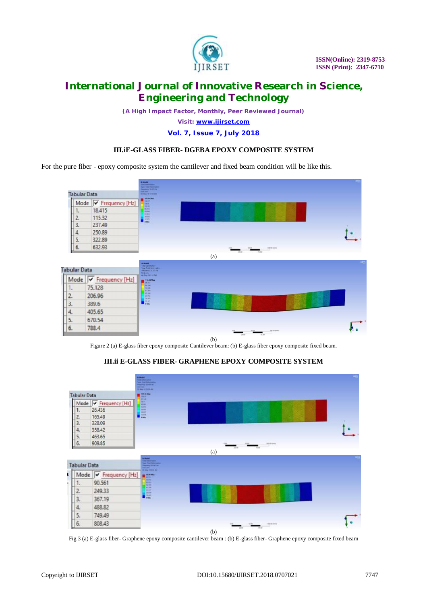

*(A High Impact Factor, Monthly, Peer Reviewed Journal)*

*Visit: [www.ijirset.com](http://www.ijirset.com)*

**Vol. 7, Issue 7, July 2018**

## **III.iE-GLASS FIBER- DGEBA EPOXY COMPOSITE SYSTEM**

For the pure fiber - epoxy composite system the cantilever and fixed beam condition will be like this.



Figure 2 (a) E-glass fiber epoxy composite Cantilever beam: (b) E-glass fiber epoxy composite fixed beam.

#### **III.ii E-GLASS FIBER- GRAPHENE EPOXY COMPOSITE SYSTEM**



Fig 3 (a) E-glass fiber- Graphene epoxy composite cantilever beam : (b) E-glass fiber- Graphene epoxy composite fixed beam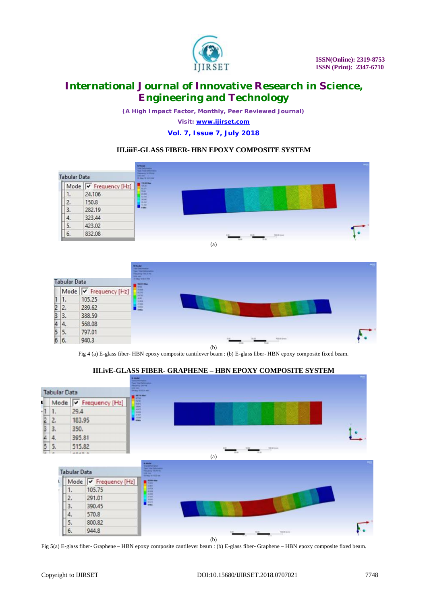

*(A High Impact Factor, Monthly, Peer Reviewed Journal) Visit: [www.ijirset.com](http://www.ijirset.com)*

**Vol. 7, Issue 7, July 2018**

## **III.iiiE-GLASS FIBER- HBN EPOXY COMPOSITE SYSTEM**



(a)

|                         | <b>Tabular Data</b>                                       |                                    | <b>Without Inc.</b><br><b>HANGER</b><br><b>HEAT SERVICE</b> | <b>MUS</b> |
|-------------------------|-----------------------------------------------------------|------------------------------------|-------------------------------------------------------------|------------|
|                         | Mode                                                      | $\sqrt{\mathsf{F}}$ Frequency [Hz] |                                                             |            |
|                         |                                                           |                                    |                                                             |            |
|                         | 1.                                                        | 105.25                             |                                                             |            |
| $\frac{1}{2}$           | 2.                                                        | 289.62                             |                                                             |            |
| $\overline{\mathbf{3}}$ | 3.                                                        | 388.59                             |                                                             |            |
|                         | $\begin{array}{r} 4 & 4. \\ 5 & 5. \\ 6 & 6. \end{array}$ | 568.08                             |                                                             |            |
|                         |                                                           | 797.01                             |                                                             |            |
|                         |                                                           | 940.3                              | <b>North State</b>                                          |            |
|                         |                                                           |                                    | (b)                                                         |            |

Fig 4 (a) E-glass fiber- HBN epoxy composite cantilever beam : (b) E-glass fiber- HBN epoxy composite fixed beam.

#### **Tabular Data** Mode v Frequency [Hz] U.  $\frac{1}{2}$  $\mathbf{1}$ . 29.4  $\overline{c}$ 183.95  $\overline{3}$ 350.  $\overline{4}$ 395.81 5. 515.82 (a) **Tabular Data** Mode  $\overline{V}$  Frequency [Hz]  $1.$ 105.75 2. 291.01 3. 390.45 4. 570.8 5. 800.82 6. 944.8 (b)

**III.ivE-GLASS FIBER- GRAPHENE – HBN EPOXY COMPOSITE SYSTEM**

Fig 5(a) E-glass fiber- Graphene – HBN epoxy composite cantilever beam : (b) E-glass fiber- Graphene – HBN epoxy composite fixed beam.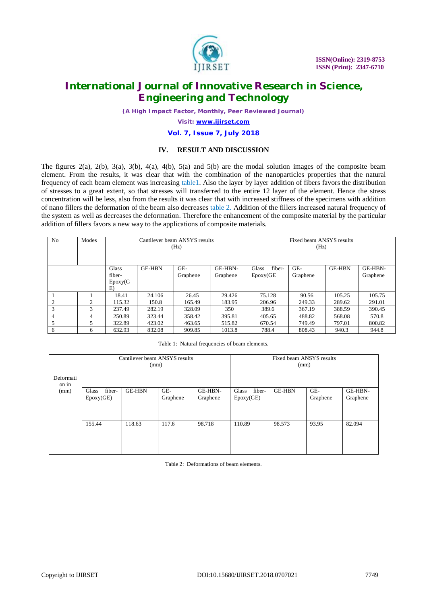

*(A High Impact Factor, Monthly, Peer Reviewed Journal)*

*Visit: [www.ijirset.com](http://www.ijirset.com)*

#### **Vol. 7, Issue 7, July 2018**

#### **IV. RESULT AND DISCUSSION**

The figures 2(a), 2(b), 3(a), 3(b), 4(a), 4(b), 5(a) and 5(b) are the modal solution images of the composite beam element. From the results, it was clear that with the combination of the nanoparticles properties that the natural frequency of each beam element was increasing table1. Also the layer by layer addition of fibers favors the distribution of stresses to a great extent, so that stresses will transferred to the entire 12 layer of the element. Hence the stress concentration will be less, also from the results it was clear that with increased stiffness of the specimens with addition of nano fillers the deformation of the beam also decreases table 2. Addition of the fillers increased natural frequency of the system as well as decreases the deformation. Therefore the enhancement of the composite material by the particular addition of fillers favors a new way to the applications of composite materials.

| N <sub>0</sub> | Modes                         | Cantilever beam ANSYS results<br>(Hz) |               |                 |                     | Fixed beam ANSYS results<br>(Hz) |                 |        |                     |
|----------------|-------------------------------|---------------------------------------|---------------|-----------------|---------------------|----------------------------------|-----------------|--------|---------------------|
|                |                               | Glass<br>fiber-<br>Epoxy<br>E)        | <b>GE-HBN</b> | GE-<br>Graphene | GE-HBN-<br>Graphene | Glass<br>fiber-<br>Epoxy(GE)     | GE-<br>Graphene | GE-HBN | GE-HBN-<br>Graphene |
|                |                               | 18.41                                 | 24.106        | 26.45           | 29.426              | 75.128                           | 90.56           | 105.25 | 105.75              |
| $\mathcal{D}$  | $\mathfrak{D}_{\mathfrak{p}}$ | 115.32                                | 150.8         | 165.49          | 183.95              | 206.96                           | 249.33          | 289.62 | 291.01              |
| 3              | 3                             | 237.49                                | 282.19        | 328.09          | 350                 | 389.6                            | 367.19          | 388.59 | 390.45              |
|                | 4                             | 250.89                                | 323.44        | 358.42          | 395.81              | 405.65                           | 488.82          | 568.08 | 570.8               |
| 5              | 5                             | 322.89                                | 423.02        | 463.65          | 515.82              | 670.54                           | 749.49          | 797.01 | 800.82              |
| 6              | 6                             | 632.93                                | 832.08        | 909.85          | 1013.8              | 788.4                            | 808.43          | 940.3  | 944.8               |

Table 1: Natural frequencies of beam elements.

|                    | Cantilever beam ANSYS results<br>(mm) |               |                 |                     | Fixed beam ANSYS results<br>(mm) |               |                 |                     |
|--------------------|---------------------------------------|---------------|-----------------|---------------------|----------------------------------|---------------|-----------------|---------------------|
| Deformati<br>on in |                                       |               |                 |                     |                                  |               |                 |                     |
| (mm)               | fiber-<br>Glass<br>Epoxy(GE)          | <b>GE-HBN</b> | GE-<br>Graphene | GE-HBN-<br>Graphene | fiber-<br>Glass<br>Epoxy(GE)     | <b>GE-HBN</b> | GE-<br>Graphene | GE-HBN-<br>Graphene |
|                    | 155.44                                | 118.63        | 117.6           | 98.718              | 110.89                           | 98.573        | 93.95           | 82.094              |

Table 2: Deformations of beam elements.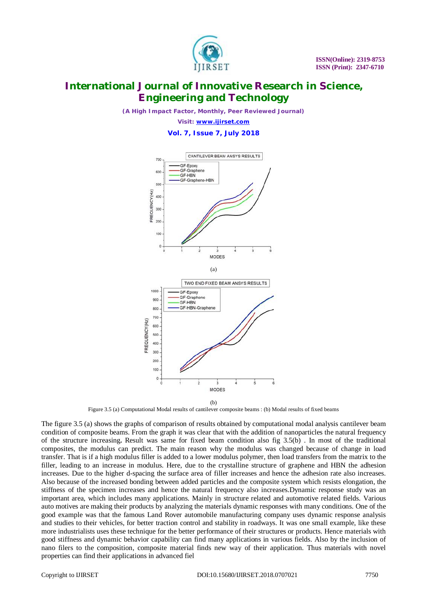

*(A High Impact Factor, Monthly, Peer Reviewed Journal)*

*Visit: [www.ijirset.com](http://www.ijirset.com)* **Vol. 7, Issue 7, July 2018**



(b)

Figure 3.5 (a) Computational Modal results of cantilever composite beams : (b) Modal results of fixed beams

The figure 3.5 (a) shows the graphs of comparison of results obtained by computational modal analysis cantilever beam condition of composite beams. From the graph it was clear that with the addition of nanoparticles the natural frequency of the structure increasing**.** Result was same for fixed beam condition also fig 3.5(b) . In most of the traditional composites, the modulus can predict. The main reason why the modulus was changed because of change in load transfer. That is if a high modulus filler is added to a lower modulus polymer, then load transfers from the matrix to the filler, leading to an increase in modulus. Here, due to the crystalline structure of graphene and HBN the adhesion increases. Due to the higher d-spacing the surface area of filler increases and hence the adhesion rate also increases. Also because of the increased bonding between added particles and the composite system which resists elongation, the stiffness of the specimen increases and hence the natural frequency also increases.Dynamic response study was an important area, which includes many applications. Mainly in structure related and automotive related fields. Various auto motives are making their products by analyzing the materials dynamic responses with many conditions. One of the good example was that the famous Land Rover automobile manufacturing company uses dynamic response analysis and studies to their vehicles, for better traction control and stability in roadways. It was one small example, like these more industrialists uses these technique for the better performance of their structures or products. Hence materials with good stiffness and dynamic behavior capability can find many applications in various fields. Also by the inclusion of nano filers to the composition, composite material finds new way of their application. Thus materials with novel properties can find their applications in advanced fiel